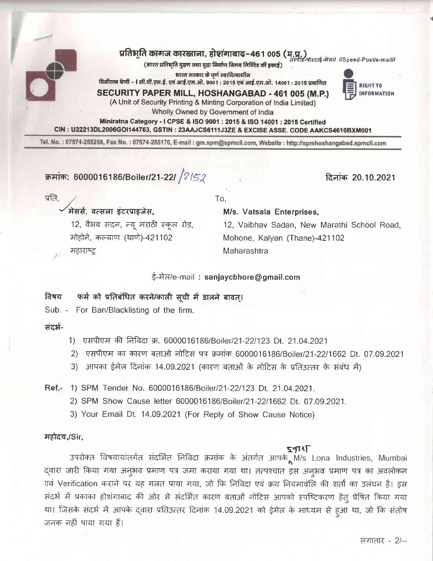

# प्रतिभूति कागज कारखाना, होशगाबाद-461 005 (म.प.)<br>||स्पोड-पोस्टाई-मेला|| ISpeed-Postle-mail||

(भारत प्रतिभूति मुद्रण तथा मुद्रा निर्माण निगम लिमिटेड की इकाई)

भारत सरकार के पूर्ण स्वामित्वाधीन मिनीरत्न श्रेणी – । सी.पी.एस.ई. एवं आई.एस.ओ. 9001 : 2015 एवं आई.एस.ओ. 14001 : 2015 प्रमाणित

SECURITY PAPER MILL, HOSHANGABAD - 461 005 (M.P.)



(A Unit of Security Printing & Minting Corporation of India Limited)

Wholly Owned by Government of India Miniratna Category - I CPSE & ISO 9001 : 2015 & ISO 14001 : 2015 Certified

CIN: U22213DL2006GOI144763, GSTIN: 23AAJCS6111J3ZE & EXCISE ASSE. CODE AAKCS4610BXM001

Tel. No.: 07574-255259, Fax No.: 07574-255170, E-mail: gm.spm@spmcil.com, Website: http://spmhoshangabad.spmcil.com

क्रमांक: 6000016186/Boiler/21-22/  $/2$ /52

दिनांक 20.10.2021

प्रति.

## मेसर्स, वत्सला इंटरप्राइजेस,

12, वैभव सदन, न्यू मराठी स्कूल रोड, मोहोने, कल्याण (थाणे)-421102 महाराष्ट

To.

## M/s. Vatsala Enterprises,

12, Vaibhav Sadan, New Marathi School Road, Mohone, Kalyan (Thane)-421102 Maharashtra

## ई-मेल/e-mail: sanjaycbhore@gmail.com

### फर्म को प्रतिबंधित करने/काली सूची में डालने बावत्। विषय

Sub. - For Ban/Blacklisting of the firm.

संदर्भ-

- 1) एसपीएम की निविदा क्र. 6000016186/Boiler/21-22/123 Dt. 21.04.2021
- 2) एसपीएम का कारण बताओ नोटिस पत्र क्रमांक 6000016186/Boiler/21-22/1662 Dt. 07.09.2021
- 3) आपका ईमेल दिनांक 14.09.2021 (कारण बताओं के नोटिस के प्रतिउत्तर के संबंध में)

Ref.- 1) SPM Tender No. 6000016186/Boiler/21-22/123 Dt. 21.04.2021.

- 2) SPM Show Cause letter 6000016186/Boiler/21-22/1662 Dt. 07.09.2021.
- 3) Your Email Dt. 14.09.2021 (For Reply of Show Cause Notice)

## महोदय,/Sir,

उपरोक्त विषयायांतर्गत संदर्भित निविदा क्रमांक के अंतर्गत आपके M/s Lona Industries, Mumbai द्वारा जारी किया गया अन्3मव प्रमाण पत्र जमा कराया गया था। तत्पश्चात इस अन्अव प्रमाण पत्र का अवलोकन एवं Verification कराने पर यह गलत पाया गया, जो कि निविदा एवं क्रय नियमावलि की शर्तों का उलंघन है। इस संदर्भ में प्रकाका होशंगाबाद की ओर से संदर्भित कारण बताओं नोटिस आपको स्पष्टिकरण हेतु प्रेषित किया गया था। जिसके संदर्भ में आपके द्वारा प्रतिउत्तर दिनांक 14.09.2021 को ईमेल के माध्यम से हुआ था, जो कि संतोष जनक नहीं पाया गया हैं।